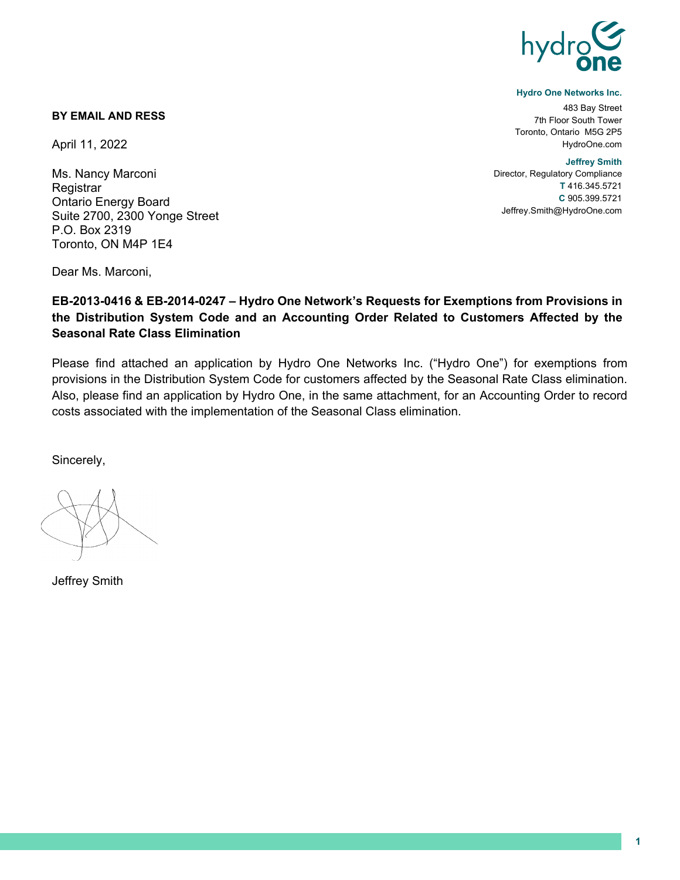

#### **Hydro One Networks Inc.**

483 Bay Street 7th Floor South Tower Toronto, Ontario M5G 2P5 HydroOne.com

**Jeffrey Smith**

Director, Regulatory Compliance **T** 416.345.5721 **C** 905.399.5721 Jeffrey.Smith@HydroOne.com

#### **BY EMAIL AND RESS**

April 11, 2022

Ms. Nancy Marconi **Registrar** Ontario Energy Board Suite 2700, 2300 Yonge Street P.O. Box 2319 Toronto, ON M4P 1E4

Dear Ms. Marconi,

### **EB-2013-0416 & EB-2014-0247 – Hydro One Network's Requests for Exemptions from Provisions in the Distribution System Code and an Accounting Order Related to Customers Affected by the Seasonal Rate Class Elimination**

Please find attached an application by Hydro One Networks Inc. ("Hydro One") for exemptions from provisions in the Distribution System Code for customers affected by the Seasonal Rate Class elimination. Also, please find an application by Hydro One, in the same attachment, for an Accounting Order to record costs associated with the implementation of the Seasonal Class elimination.

Sincerely,

Jeffrey Smith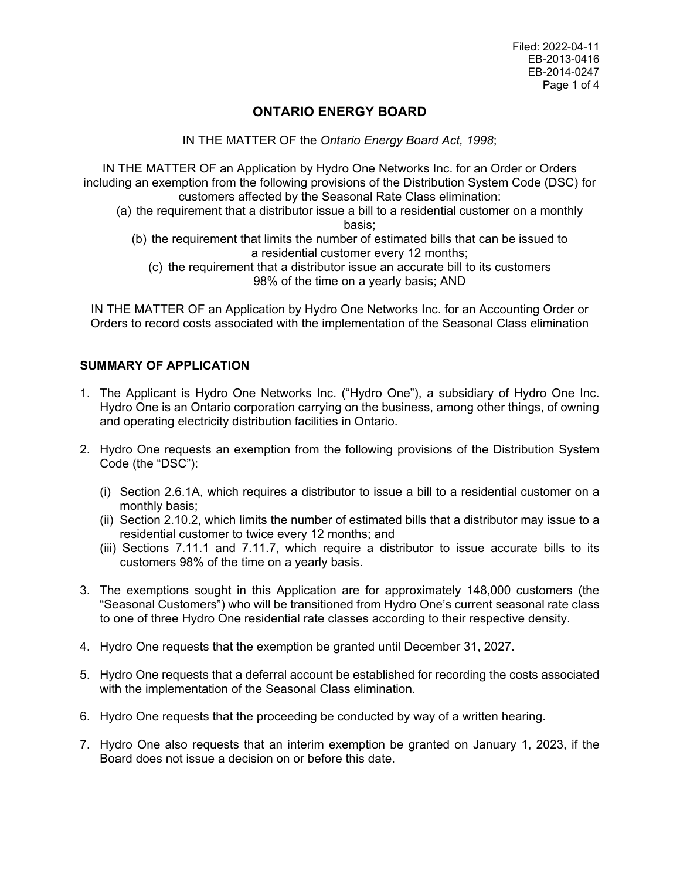# **ONTARIO ENERGY BOARD**

IN THE MATTER OF the *Ontario Energy Board Act, 1998*;

IN THE MATTER OF an Application by Hydro One Networks Inc. for an Order or Orders including an exemption from the following provisions of the Distribution System Code (DSC) for customers affected by the Seasonal Rate Class elimination:

- (a) the requirement that a distributor issue a bill to a residential customer on a monthly basis;
	- (b) the requirement that limits the number of estimated bills that can be issued to a residential customer every 12 months;
		- (c) the requirement that a distributor issue an accurate bill to its customers 98% of the time on a yearly basis; AND

IN THE MATTER OF an Application by Hydro One Networks Inc. for an Accounting Order or Orders to record costs associated with the implementation of the Seasonal Class elimination

### **SUMMARY OF APPLICATION**

- 1. The Applicant is Hydro One Networks Inc. ("Hydro One"), a subsidiary of Hydro One Inc. Hydro One is an Ontario corporation carrying on the business, among other things, of owning and operating electricity distribution facilities in Ontario.
- 2. Hydro One requests an exemption from the following provisions of the Distribution System Code (the "DSC"):
	- (i) Section 2.6.1A, which requires a distributor to issue a bill to a residential customer on a monthly basis;
	- (ii) Section 2.10.2, which limits the number of estimated bills that a distributor may issue to a residential customer to twice every 12 months; and
	- (iii) Sections 7.11.1 and 7.11.7, which require a distributor to issue accurate bills to its customers 98% of the time on a yearly basis.
- 3. The exemptions sought in this Application are for approximately 148,000 customers (the "Seasonal Customers") who will be transitioned from Hydro One's current seasonal rate class to one of three Hydro One residential rate classes according to their respective density.
- 4. Hydro One requests that the exemption be granted until December 31, 2027.
- 5. Hydro One requests that a deferral account be established for recording the costs associated with the implementation of the Seasonal Class elimination.
- 6. Hydro One requests that the proceeding be conducted by way of a written hearing.
- 7. Hydro One also requests that an interim exemption be granted on January 1, 2023, if the Board does not issue a decision on or before this date.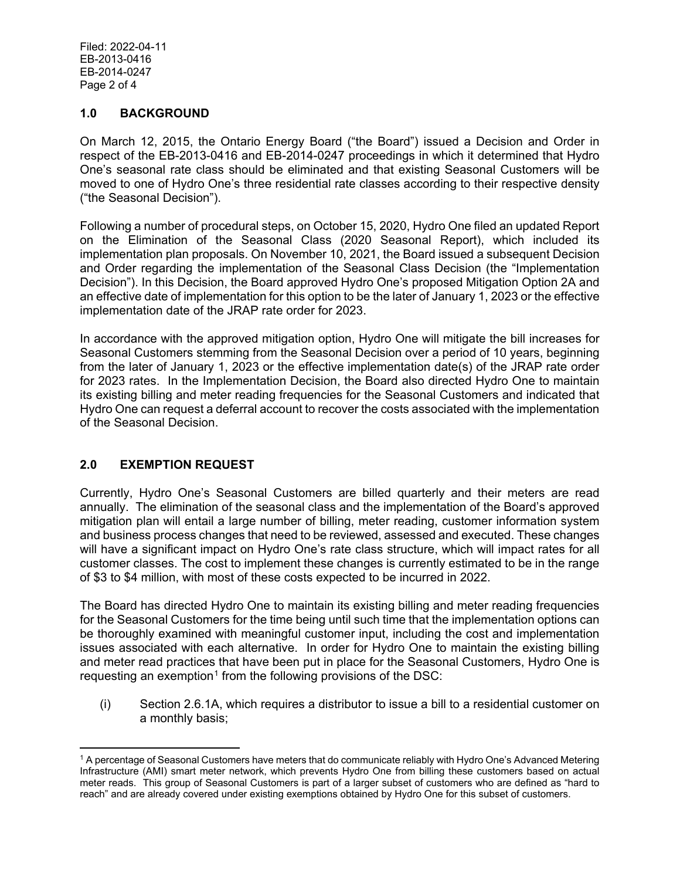Filed: 2022-04-11 EB-2013-0416 EB-2014-0247 Page 2 of 4

#### **1.0 BACKGROUND**

On March 12, 2015, the Ontario Energy Board ("the Board") issued a Decision and Order in respect of the EB-2013-0416 and EB-2014-0247 proceedings in which it determined that Hydro One's seasonal rate class should be eliminated and that existing Seasonal Customers will be moved to one of Hydro One's three residential rate classes according to their respective density ("the Seasonal Decision").

Following a number of procedural steps, on October 15, 2020, Hydro One filed an updated Report on the Elimination of the Seasonal Class (2020 Seasonal Report), which included its implementation plan proposals. On November 10, 2021, the Board issued a subsequent Decision and Order regarding the implementation of the Seasonal Class Decision (the "Implementation Decision"). In this Decision, the Board approved Hydro One's proposed Mitigation Option 2A and an effective date of implementation for this option to be the later of January 1, 2023 or the effective implementation date of the JRAP rate order for 2023.

In accordance with the approved mitigation option, Hydro One will mitigate the bill increases for Seasonal Customers stemming from the Seasonal Decision over a period of 10 years, beginning from the later of January 1, 2023 or the effective implementation date(s) of the JRAP rate order for 2023 rates. In the Implementation Decision, the Board also directed Hydro One to maintain its existing billing and meter reading frequencies for the Seasonal Customers and indicated that Hydro One can request a deferral account to recover the costs associated with the implementation of the Seasonal Decision.

## **2.0 EXEMPTION REQUEST**

Currently, Hydro One's Seasonal Customers are billed quarterly and their meters are read annually. The elimination of the seasonal class and the implementation of the Board's approved mitigation plan will entail a large number of billing, meter reading, customer information system and business process changes that need to be reviewed, assessed and executed. These changes will have a significant impact on Hydro One's rate class structure, which will impact rates for all customer classes. The cost to implement these changes is currently estimated to be in the range of \$3 to \$4 million, with most of these costs expected to be incurred in 2022.

The Board has directed Hydro One to maintain its existing billing and meter reading frequencies for the Seasonal Customers for the time being until such time that the implementation options can be thoroughly examined with meaningful customer input, including the cost and implementation issues associated with each alternative. In order for Hydro One to maintain the existing billing and meter read practices that have been put in place for the Seasonal Customers, Hydro One is requesting an exemption<sup>[1](#page-2-0)</sup> from the following provisions of the DSC:

(i) Section 2.6.1A, which requires a distributor to issue a bill to a residential customer on a monthly basis;

<span id="page-2-0"></span> $1$  A percentage of Seasonal Customers have meters that do communicate reliably with Hydro One's Advanced Metering Infrastructure (AMI) smart meter network, which prevents Hydro One from billing these customers based on actual meter reads. This group of Seasonal Customers is part of a larger subset of customers who are defined as "hard to reach" and are already covered under existing exemptions obtained by Hydro One for this subset of customers.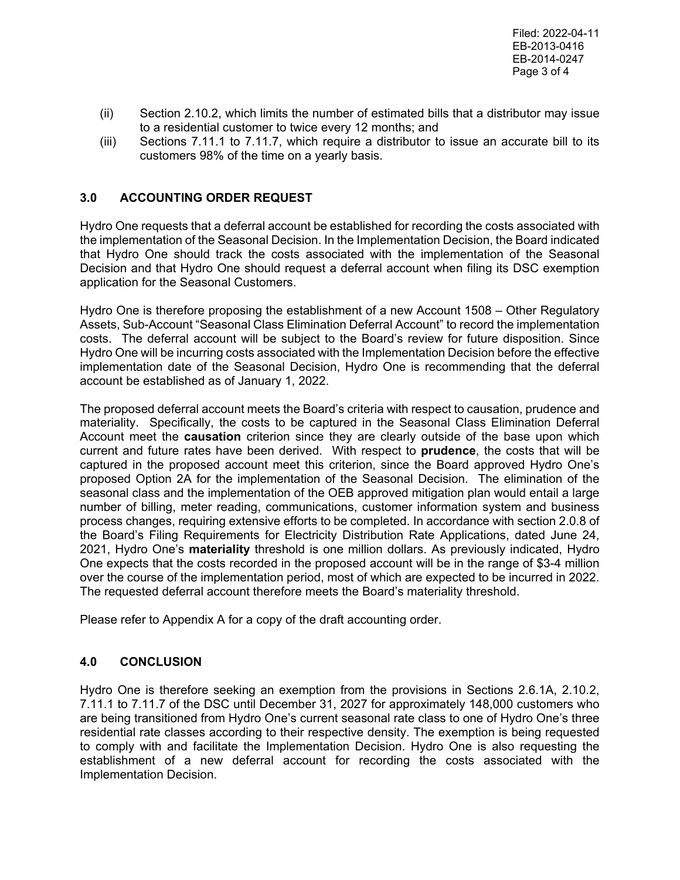- (ii) Section 2.10.2, which limits the number of estimated bills that a distributor may issue to a residential customer to twice every 12 months; and
- (iii) Sections 7.11.1 to 7.11.7, which require a distributor to issue an accurate bill to its customers 98% of the time on a yearly basis.

## **3.0 ACCOUNTING ORDER REQUEST**

Hydro One requests that a deferral account be established for recording the costs associated with the implementation of the Seasonal Decision. In the Implementation Decision, the Board indicated that Hydro One should track the costs associated with the implementation of the Seasonal Decision and that Hydro One should request a deferral account when filing its DSC exemption application for the Seasonal Customers.

Hydro One is therefore proposing the establishment of a new Account 1508 – Other Regulatory Assets, Sub-Account "Seasonal Class Elimination Deferral Account" to record the implementation costs. The deferral account will be subject to the Board's review for future disposition. Since Hydro One will be incurring costs associated with the Implementation Decision before the effective implementation date of the Seasonal Decision, Hydro One is recommending that the deferral account be established as of January 1, 2022.

The proposed deferral account meets the Board's criteria with respect to causation, prudence and materiality. Specifically, the costs to be captured in the Seasonal Class Elimination Deferral Account meet the **causation** criterion since they are clearly outside of the base upon which current and future rates have been derived. With respect to **prudence**, the costs that will be captured in the proposed account meet this criterion, since the Board approved Hydro One's proposed Option 2A for the implementation of the Seasonal Decision. The elimination of the seasonal class and the implementation of the OEB approved mitigation plan would entail a large number of billing, meter reading, communications, customer information system and business process changes, requiring extensive efforts to be completed. In accordance with section 2.0.8 of the Board's Filing Requirements for Electricity Distribution Rate Applications, dated June 24, 2021, Hydro One's **materiality** threshold is one million dollars. As previously indicated, Hydro One expects that the costs recorded in the proposed account will be in the range of \$3-4 million over the course of the implementation period, most of which are expected to be incurred in 2022. The requested deferral account therefore meets the Board's materiality threshold.

Please refer to Appendix A for a copy of the draft accounting order.

#### **4.0 CONCLUSION**

Hydro One is therefore seeking an exemption from the provisions in Sections 2.6.1A, 2.10.2, 7.11.1 to 7.11.7 of the DSC until December 31, 2027 for approximately 148,000 customers who are being transitioned from Hydro One's current seasonal rate class to one of Hydro One's three residential rate classes according to their respective density. The exemption is being requested to comply with and facilitate the Implementation Decision. Hydro One is also requesting the establishment of a new deferral account for recording the costs associated with the Implementation Decision.